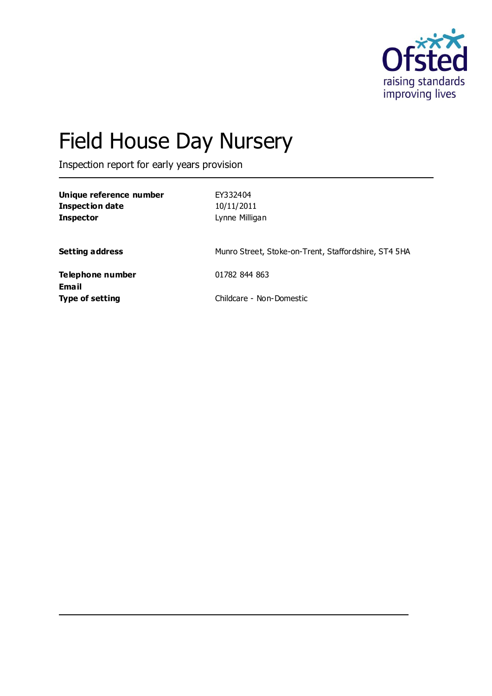

# Field House Day Nursery

Inspection report for early years provision

| Unique reference number<br><b>Inspection date</b><br><b>Inspector</b> | EY332404<br>10/11/2011<br>Lynne Milligan             |
|-----------------------------------------------------------------------|------------------------------------------------------|
| <b>Setting address</b>                                                | Munro Street, Stoke-on-Trent, Staffordshire, ST4 5HA |
| Telephone number<br>Email                                             | 01782 844 863                                        |
| <b>Type of setting</b>                                                | Childcare - Non-Domestic                             |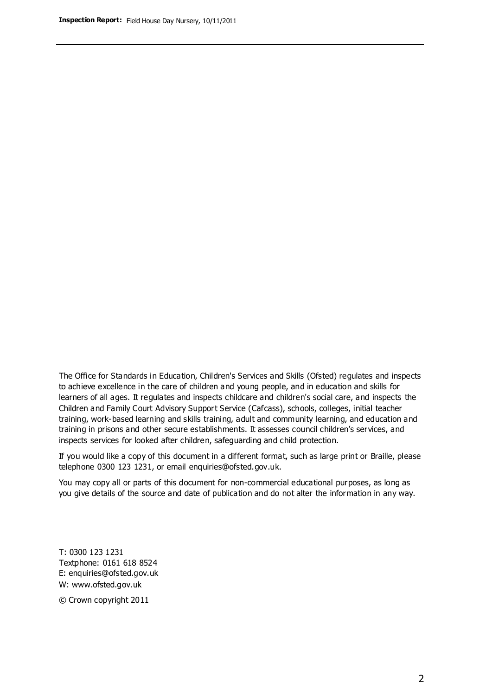The Office for Standards in Education, Children's Services and Skills (Ofsted) regulates and inspects to achieve excellence in the care of children and young people, and in education and skills for learners of all ages. It regulates and inspects childcare and children's social care, and inspects the Children and Family Court Advisory Support Service (Cafcass), schools, colleges, initial teacher training, work-based learning and skills training, adult and community learning, and education and training in prisons and other secure establishments. It assesses council children's services, and inspects services for looked after children, safeguarding and child protection.

If you would like a copy of this document in a different format, such as large print or Braille, please telephone 0300 123 1231, or email enquiries@ofsted.gov.uk.

You may copy all or parts of this document for non-commercial educational purposes, as long as you give details of the source and date of publication and do not alter the information in any way.

T: 0300 123 1231 Textphone: 0161 618 8524 E: enquiries@ofsted.gov.uk W: [www.ofsted.gov.uk](http://www.ofsted.gov.uk/)

© Crown copyright 2011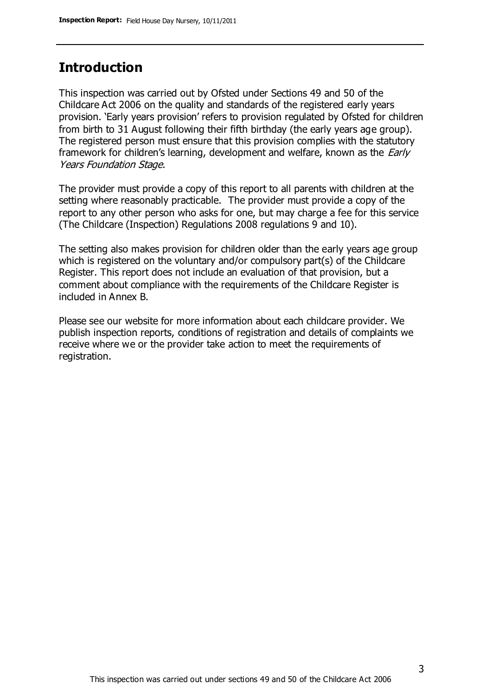#### **Introduction**

This inspection was carried out by Ofsted under Sections 49 and 50 of the Childcare Act 2006 on the quality and standards of the registered early years provision. 'Early years provision' refers to provision regulated by Ofsted for children from birth to 31 August following their fifth birthday (the early years age group). The registered person must ensure that this provision complies with the statutory framework for children's learning, development and welfare, known as the *Early* Years Foundation Stage.

The provider must provide a copy of this report to all parents with children at the setting where reasonably practicable. The provider must provide a copy of the report to any other person who asks for one, but may charge a fee for this service (The Childcare (Inspection) Regulations 2008 regulations 9 and 10).

The setting also makes provision for children older than the early years age group which is registered on the voluntary and/or compulsory part(s) of the Childcare Register. This report does not include an evaluation of that provision, but a comment about compliance with the requirements of the Childcare Register is included in Annex B.

Please see our website for more information about each childcare provider. We publish inspection reports, conditions of registration and details of complaints we receive where we or the provider take action to meet the requirements of registration.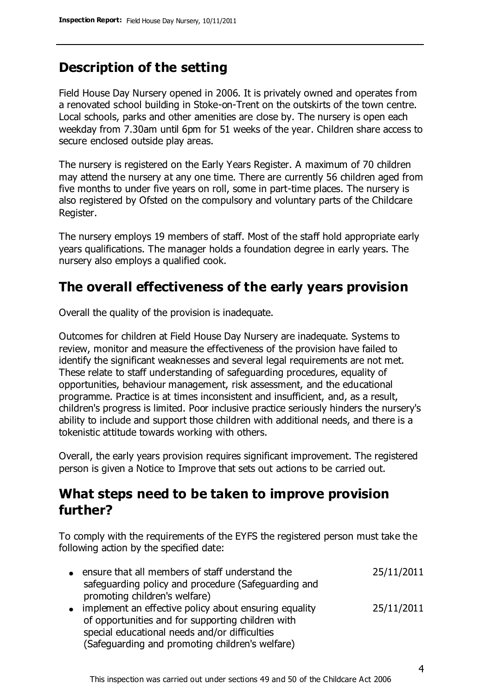# **Description of the setting**

Field House Day Nursery opened in 2006. It is privately owned and operates from a renovated school building in Stoke-on-Trent on the outskirts of the town centre. Local schools, parks and other amenities are close by. The nursery is open each weekday from 7.30am until 6pm for 51 weeks of the year. Children share access to secure enclosed outside play areas.

The nursery is registered on the Early Years Register. A maximum of 70 children may attend the nursery at any one time. There are currently 56 children aged from five months to under five years on roll, some in part-time places. The nursery is also registered by Ofsted on the compulsory and voluntary parts of the Childcare Register.

The nursery employs 19 members of staff. Most of the staff hold appropriate early years qualifications. The manager holds a foundation degree in early years. The nursery also employs a qualified cook.

# **The overall effectiveness of the early years provision**

Overall the quality of the provision is inadequate.

Outcomes for children at Field House Day Nursery are inadequate. Systems to review, monitor and measure the effectiveness of the provision have failed to identify the significant weaknesses and several legal requirements are not met. These relate to staff understanding of safeguarding procedures, equality of opportunities, behaviour management, risk assessment, and the educational programme. Practice is at times inconsistent and insufficient, and, as a result, children's progress is limited. Poor inclusive practice seriously hinders the nursery's ability to include and support those children with additional needs, and there is a tokenistic attitude towards working with others.

Overall, the early years provision requires significant improvement. The registered person is given a Notice to Improve that sets out actions to be carried out.

# **What steps need to be taken to improve provision further?**

To comply with the requirements of the EYFS the registered person must take the following action by the specified date:

| $\bullet$ | ensure that all members of staff understand the<br>safeguarding policy and procedure (Safeguarding and | 25/11/2011 |
|-----------|--------------------------------------------------------------------------------------------------------|------------|
|           | promoting children's welfare)                                                                          |            |
|           | • implement an effective policy about ensuring equality                                                | 25/11/2011 |
|           | of opportunities and for supporting children with                                                      |            |
|           | special educational needs and/or difficulties                                                          |            |
|           | (Safeguarding and promoting children's welfare)                                                        |            |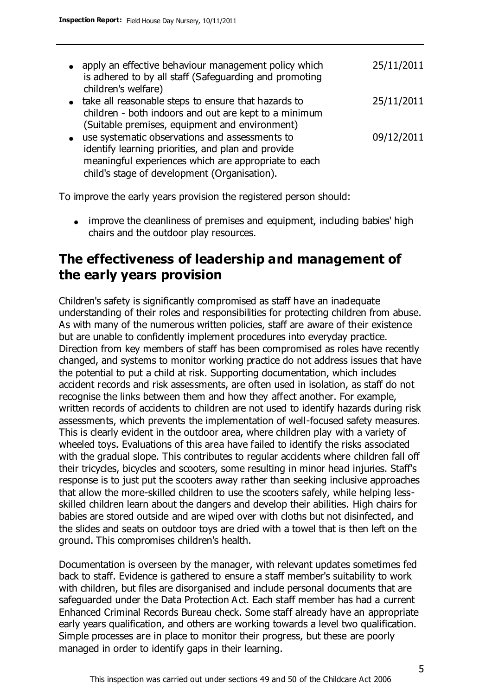| $\bullet$ | apply an effective behaviour management policy which<br>is adhered to by all staff (Safeguarding and promoting | 25/11/2011 |
|-----------|----------------------------------------------------------------------------------------------------------------|------------|
|           | children's welfare)                                                                                            |            |
|           | • take all reasonable steps to ensure that hazards to<br>children - both indoors and out are kept to a minimum | 25/11/2011 |
|           | (Suitable premises, equipment and environment)                                                                 |            |
| $\bullet$ | use systematic observations and assessments to                                                                 | 09/12/2011 |
|           | identify learning priorities, and plan and provide                                                             |            |
|           | meaningful experiences which are appropriate to each                                                           |            |

To improve the early years provision the registered person should:

child's stage of development (Organisation).

• improve the cleanliness of premises and equipment, including babies' high chairs and the outdoor play resources.

# **The effectiveness of leadership and management of the early years provision**

Children's safety is significantly compromised as staff have an inadequate understanding of their roles and responsibilities for protecting children from abuse. As with many of the numerous written policies, staff are aware of their existence but are unable to confidently implement procedures into everyday practice. Direction from key members of staff has been compromised as roles have recently changed, and systems to monitor working practice do not address issues that have the potential to put a child at risk. Supporting documentation, which includes accident records and risk assessments, are often used in isolation, as staff do not recognise the links between them and how they affect another. For example, written records of accidents to children are not used to identify hazards during risk assessments, which prevents the implementation of well-focused safety measures. This is clearly evident in the outdoor area, where children play with a variety of wheeled toys. Evaluations of this area have failed to identify the risks associated with the gradual slope. This contributes to regular accidents where children fall off their tricycles, bicycles and scooters, some resulting in minor head injuries. Staff's response is to just put the scooters away rather than seeking inclusive approaches that allow the more-skilled children to use the scooters safely, while helping lessskilled children learn about the dangers and develop their abilities. High chairs for babies are stored outside and are wiped over with cloths but not disinfected, and the slides and seats on outdoor toys are dried with a towel that is then left on the ground. This compromises children's health.

Documentation is overseen by the manager, with relevant updates sometimes fed back to staff. Evidence is gathered to ensure a staff member's suitability to work with children, but files are disorganised and include personal documents that are safeguarded under the Data Protection Act. Each staff member has had a current Enhanced Criminal Records Bureau check. Some staff already have an appropriate early years qualification, and others are working towards a level two qualification. Simple processes are in place to monitor their progress, but these are poorly managed in order to identify gaps in their learning.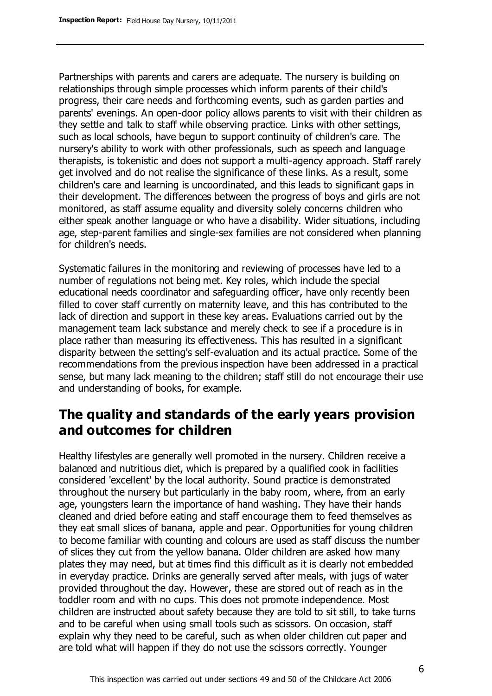Partnerships with parents and carers are adequate. The nursery is building on relationships through simple processes which inform parents of their child's progress, their care needs and forthcoming events, such as garden parties and parents' evenings. An open-door policy allows parents to visit with their children as they settle and talk to staff while observing practice. Links with other settings, such as local schools, have begun to support continuity of children's care. The nursery's ability to work with other professionals, such as speech and language therapists, is tokenistic and does not support a multi-agency approach. Staff rarely get involved and do not realise the significance of these links. As a result, some children's care and learning is uncoordinated, and this leads to significant gaps in their development. The differences between the progress of boys and girls are not monitored, as staff assume equality and diversity solely concerns children who either speak another language or who have a disability. Wider situations, including age, step-parent families and single-sex families are not considered when planning for children's needs.

Systematic failures in the monitoring and reviewing of processes have led to a number of regulations not being met. Key roles, which include the special educational needs coordinator and safeguarding officer, have only recently been filled to cover staff currently on maternity leave, and this has contributed to the lack of direction and support in these key areas. Evaluations carried out by the management team lack substance and merely check to see if a procedure is in place rather than measuring its effectiveness. This has resulted in a significant disparity between the setting's self-evaluation and its actual practice. Some of the recommendations from the previous inspection have been addressed in a practical sense, but many lack meaning to the children; staff still do not encourage their use and understanding of books, for example.

#### **The quality and standards of the early years provision and outcomes for children**

Healthy lifestyles are generally well promoted in the nursery. Children receive a balanced and nutritious diet, which is prepared by a qualified cook in facilities considered 'excellent' by the local authority. Sound practice is demonstrated throughout the nursery but particularly in the baby room, where, from an early age, youngsters learn the importance of hand washing. They have their hands cleaned and dried before eating and staff encourage them to feed themselves as they eat small slices of banana, apple and pear. Opportunities for young children to become familiar with counting and colours are used as staff discuss the number of slices they cut from the yellow banana. Older children are asked how many plates they may need, but at times find this difficult as it is clearly not embedded in everyday practice. Drinks are generally served after meals, with jugs of water provided throughout the day. However, these are stored out of reach as in the toddler room and with no cups. This does not promote independence. Most children are instructed about safety because they are told to sit still, to take turns and to be careful when using small tools such as scissors. On occasion, staff explain why they need to be careful, such as when older children cut paper and are told what will happen if they do not use the scissors correctly. Younger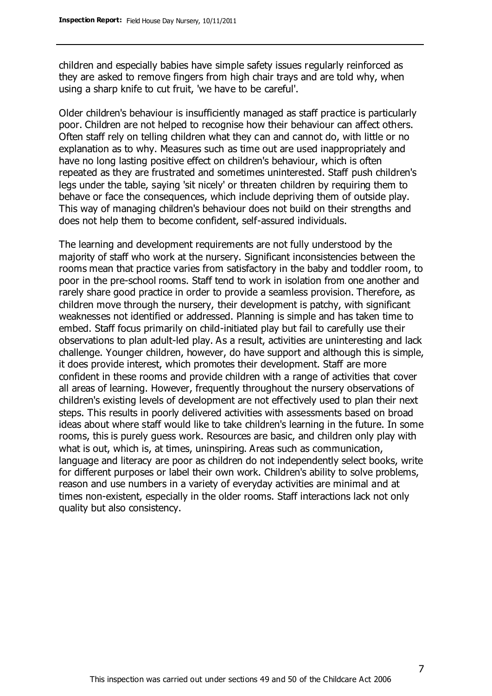children and especially babies have simple safety issues regularly reinforced as they are asked to remove fingers from high chair trays and are told why, when using a sharp knife to cut fruit, 'we have to be careful'.

Older children's behaviour is insufficiently managed as staff practice is particularly poor. Children are not helped to recognise how their behaviour can affect others. Often staff rely on telling children what they can and cannot do, with little or no explanation as to why. Measures such as time out are used inappropriately and have no long lasting positive effect on children's behaviour, which is often repeated as they are frustrated and sometimes uninterested. Staff push children's legs under the table, saying 'sit nicely' or threaten children by requiring them to behave or face the consequences, which include depriving them of outside play. This way of managing children's behaviour does not build on their strengths and does not help them to become confident, self-assured individuals.

The learning and development requirements are not fully understood by the majority of staff who work at the nursery. Significant inconsistencies between the rooms mean that practice varies from satisfactory in the baby and toddler room, to poor in the pre-school rooms. Staff tend to work in isolation from one another and rarely share good practice in order to provide a seamless provision. Therefore, as children move through the nursery, their development is patchy, with significant weaknesses not identified or addressed. Planning is simple and has taken time to embed. Staff focus primarily on child-initiated play but fail to carefully use their observations to plan adult-led play. As a result, activities are uninteresting and lack challenge. Younger children, however, do have support and although this is simple, it does provide interest, which promotes their development. Staff are more confident in these rooms and provide children with a range of activities that cover all areas of learning. However, frequently throughout the nursery observations of children's existing levels of development are not effectively used to plan their next steps. This results in poorly delivered activities with assessments based on broad ideas about where staff would like to take children's learning in the future. In some rooms, this is purely guess work. Resources are basic, and children only play with what is out, which is, at times, uninspiring. Areas such as communication, language and literacy are poor as children do not independently select books, write for different purposes or label their own work. Children's ability to solve problems, reason and use numbers in a variety of everyday activities are minimal and at times non-existent, especially in the older rooms. Staff interactions lack not only quality but also consistency.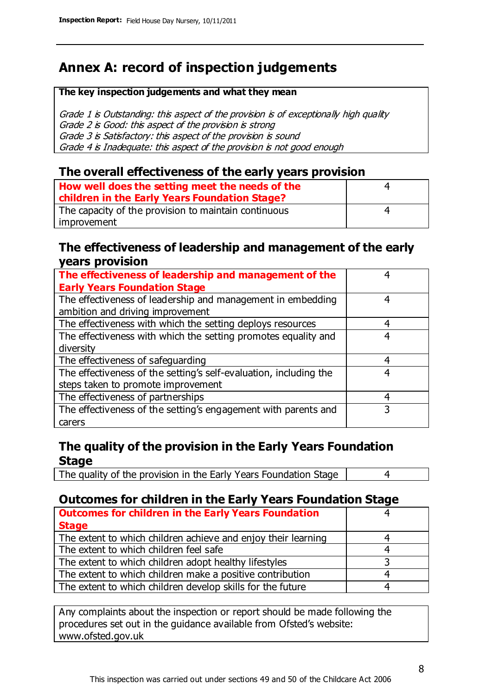# **Annex A: record of inspection judgements**

#### **The key inspection judgements and what they mean**

Grade 1 is Outstanding: this aspect of the provision is of exceptionally high quality Grade 2 is Good: this aspect of the provision is strong Grade 3 is Satisfactory: this aspect of the provision is sound Grade 4 is Inadequate: this aspect of the provision is not good enough

#### **The overall effectiveness of the early years provision**

| How well does the setting meet the needs of the      | 4 |
|------------------------------------------------------|---|
| children in the Early Years Foundation Stage?        |   |
| The capacity of the provision to maintain continuous | 4 |
| improvement                                          |   |

#### **The effectiveness of leadership and management of the early years provision**

| The effectiveness of leadership and management of the             |   |
|-------------------------------------------------------------------|---|
| <b>Early Years Foundation Stage</b>                               |   |
| The effectiveness of leadership and management in embedding       | 4 |
| ambition and driving improvement                                  |   |
| The effectiveness with which the setting deploys resources        | 4 |
| The effectiveness with which the setting promotes equality and    | 4 |
| diversity                                                         |   |
| The effectiveness of safeguarding                                 | 4 |
| The effectiveness of the setting's self-evaluation, including the | 4 |
| steps taken to promote improvement                                |   |
| The effectiveness of partnerships                                 | 4 |
| The effectiveness of the setting's engagement with parents and    |   |
| carers                                                            |   |

#### **The quality of the provision in the Early Years Foundation Stage**

The quality of the provision in the Early Years Foundation Stage | 4

#### **Outcomes for children in the Early Years Foundation Stage**

| <b>Outcomes for children in the Early Years Foundation</b>    |   |
|---------------------------------------------------------------|---|
| <b>Stage</b>                                                  |   |
| The extent to which children achieve and enjoy their learning |   |
| The extent to which children feel safe                        | 4 |
| The extent to which children adopt healthy lifestyles         | 2 |
| The extent to which children make a positive contribution     |   |
| The extent to which children develop skills for the future    |   |

Any complaints about the inspection or report should be made following the procedures set out in the guidance available from Ofsted's website: www.ofsted.gov.uk